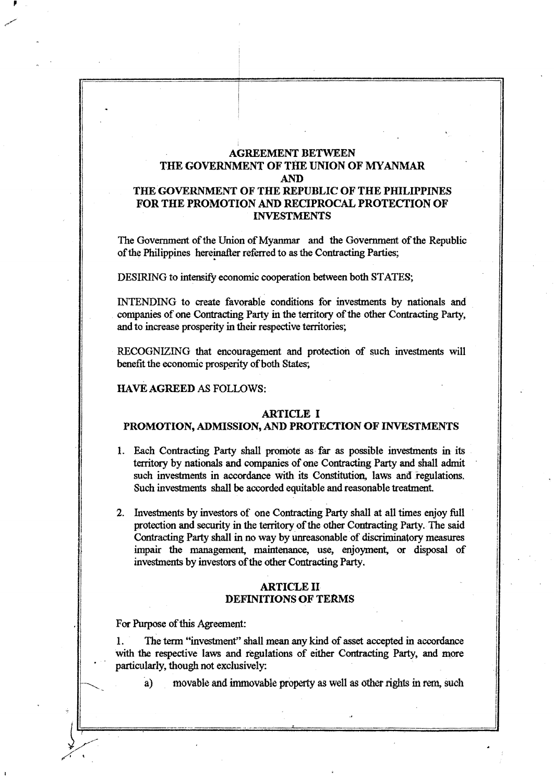# AGREEMENT BETWEEN THE GOVERNMENT OF THE UNION OF MYANMAR AND

# THE GOVERNMENT OF THE REPUBLIC OF THE PHILIPPINES FOR THE PROMOTION AND RECIPROCAL PROTECTION OF INVESTMENTS

The Government of the Union of Myanmar and the Government of the Republic of the Philippines hereinafter referred to as the Contracting Parties;

DESIRING to intensify economic cooperation between both STATES;

I I

INfENDING to create favorable conditions for investments by nationals and companies of one Contracting Party in the territory of the other Contracting Party, and to increase prosperity in their respective territories;

RECOGNIZING that encouragement and protection of such investments will benefit the economic prosperity of both States;

HAVE AGREED AS FOLLOWS:

,

#### ARTICLE I

#### PROMOTION, ADMISSION, AND PROTECTION OF INVESTMENTS

- 1. Each Contracting Party shall promote as far as possible investments in its territory by nationals and companies of one Contracting Party and shall admit such investments in accordance with its Constitution, laws and regulations. Such investments shall be accorded equitable and reasonable treatment.
- 2. Investments by investors of one Contracting Party shall at all times enjoy full protection and security in the territory of the other Contracting Party. The said Contracting Party shall in no way by unreasonable of discriminatory measures impair the management, maintenance, use, enjoyment, or disposal of investments by investors of the other Contracting Party.

#### **ARTICLE II** DEFINITIONS OF TERMS

For Purpose of this Agreement:

1. The term "investment" shall mean any kind of asset accepted in accordance with the respective laws and regulations of either Contracting Party, and more particularly, though not exclusively:

a) movable and immovable property as well as other rights in rem, such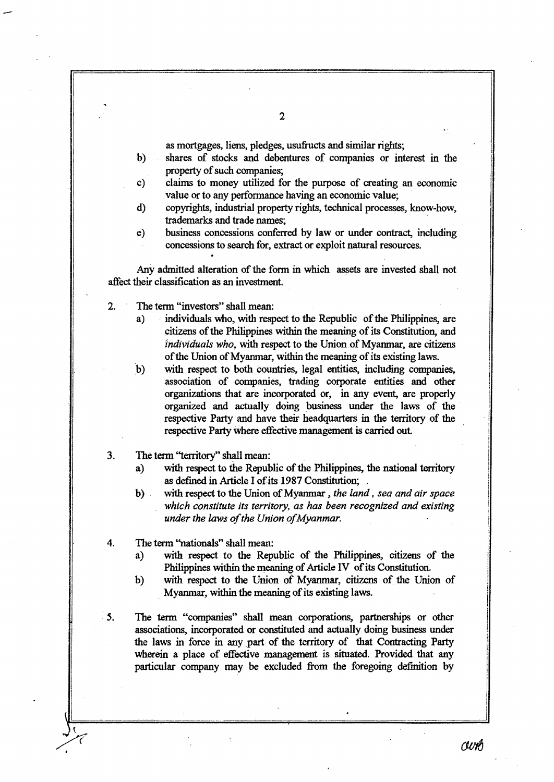2

as mortgages, liens, pledges, usufiucts and similar rights;

- b) shares of stocks and debentures of companies or interest in the property of such companies;
- c) claims to money utilized for the purpose of creating an economic value or to any performance having an economic value;
- d) copyrights, industrial property rights, technical processes, know-how, trademarks and trade names;
- e) business concessions conferred by law or under contract, including concessions to search for, extract or exploit natural resources.

Any admitted alteration of the fonn in which assets are invested shall not affect their classification as an investment.

- 2. The term "investors" shall mean:
	- a) . individuals who, with respect to the Republic of the Philippines, are citizens of the Philippines within the meaning of its Constitution, and *individuals who, with respect to the Union of Myanmar, are citizens* of the Union of Myanmar, within the meaning of its existing laws.
	- :b) with respect to both countries, legal entities, including companies, association of companies, trading corporate entities and other organizations that are incorporated or, in any event, are properly organized and actually doing business under the laws of the respective Party and have their headquarters in the territory of the respective Party where effective management is carried out.
- 3. The term ''territory'' shall mean:
	- a) with respect to the Republic of the Philippines, the national territory as defined in Article I of its 1987 Constitution;
	- b) with respect to the Union of Myanmar, *the land, sea and air space which constitute its territory, as has been recognized and existing under the laws of the Union of Myanmar.*
- 4. The term "nationals" shall mean:

 $\pmb{\mathfrak{q}}$ 

- a) with respect to the Republic of the Philippines, citizens of the Philippines within the meaning of Article IV of its Constitution.
- b) with respect to the Union of Myanmar, citizens of the Union of . Myanmar, within the meaning of its existing laws.
- 5. The term "companies" shall mean corporations, partnerships or other associations, incorporated or constituted and actually doing business under the laws in force in any part of the territory of that Contracting Party wherein a place of effective management is situated. Provided that any particular company may be excluded from the foregoing definition by

cum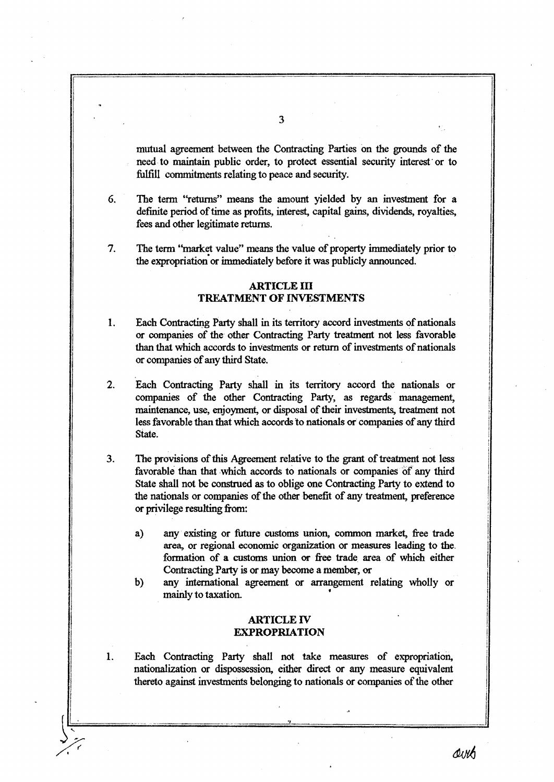mutual agreement between the Contracting Parties on the grounds of the need to maintain public order, to protect essential security interest· or to fulfill commitments relating to peace and security.

- 6. The tenn "returns" means the amount yielded by an investment for a definite period of time as profits, interest, capital gains, dividends, royalties, fees and other legitimate returns.
- 7. The term "market value" means the value of property immediately prior to the expropriation or immediately before it was publicly announced.

### **ARTICLE III** TREATMENT OF INVESTMENTS

- 1. Each Contracting Party shall in its territory accord investments of nationals or companies of the other Contracting Party treatment not less favorable than that which accords to investments or return of investments of nationals or companies of any third State.
- 2. Each Contracting Party shall in its territory accord the nationals or companies of the other Contracting Party, as regards management, maintenance, use, enjoyment, or disposal of their investments, treatment not less favorable than that which accords to nationals or companies of any third state.
- 3. The provisions of this Agreement relative to the grant of treatment not less favorable than that which accords to nationals or companies of' any third State shall not be construed as to oblige one Contracting Party to extend to the nationals or companies of the other benefit of any treatment, preference or privilege resuhing from:
	- a) any existing or future customs union, common market, free trade area, or regional economic organization or measures leading to the. formation of a customs union or free trade area of which either Contracting Party is or may become a member, or
	- b) any international agreement or arrangement relating wholly or mainly to taxation. •

#### ARTICLE IV EXPROPRIATION

I

I

I

r

 $\frac{\sqrt{1-\frac{1}{2}}}{\sqrt{1-\frac{1}{2}}}$ 

1. Each Contracting Party shall not take measures of expropriation, nationalization or dispossession, either direct or any measure equivalent thereto against investments belonging to nationals or companies of the other

'1

3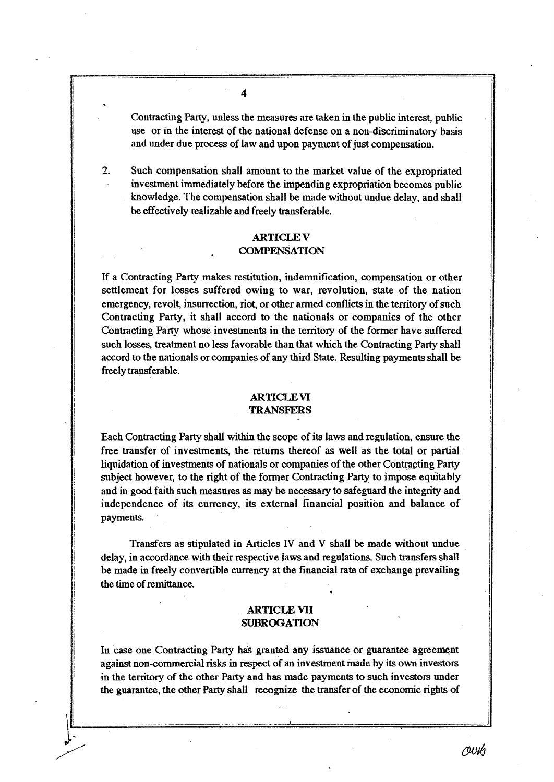4

Contracting Party, unless the measures are taken in the public interest, public use or in the interest of the national defense on a non-discriminatory basis and under due process of law and upon payment of just compensation.

2. Such compensation shall amount to the market value of the expropriated investment immediately before the impending expropriation becomes public knowledge. The compensation shall be made without undue delay, and shall be effectively realizable and freely transferable.

# ARTICLE V **COMPENSATION**

If a Contracting Party makes restitution, indemnification, compensation or other settlement for losses suffered owing to war, revolution, state of the nation emergency, revolt, insurrection, riot, or other armed conflicts in the territory of such Contracting Party, it shall accord to the nationals or companies of the other Contracting Party whose investments in the territory of the former have suffered such losses, treatment no less favorable than that which the Contracting Party shall accord to the nationals or companies of any third State. Resulting payments shall be freely transferable.

## **ARTICLE VI** . TRANSFERS

Each Contracting Party shall within the scope of its laws and regUlation, ensure the free transfer of investments, the returns thereof as well· as the total or partial liquidation of investments of nationals or companies of the other Contracting Party subject however, to the right of the fonner Contracting Party to impose equitably and in good faith such measures as may be necessary to safeguard the integrity and independence of its currency, its external financial position and balance of payments.

Transfers as stipUlated in Articles IV and V shall be made without undue delay, in accordance with their respective laws and regulations. Such transfers shall be made in freely convertible currency at the financial rate of exchange prevailing the time of remittance.

# ARTICLE VII **SUBROGATION**

i l

I

 $\vert$  $\mathbf{I}$ I

~~

.<br>سر

In case one Contracting Party has granted any issuance or guarantee agreement against non-commercial risks in respect of an investment made by its own investors in the territory of the other Party and has made payments to such investors under the guarantee, the other Party shall recognize the transfer of the economic rights of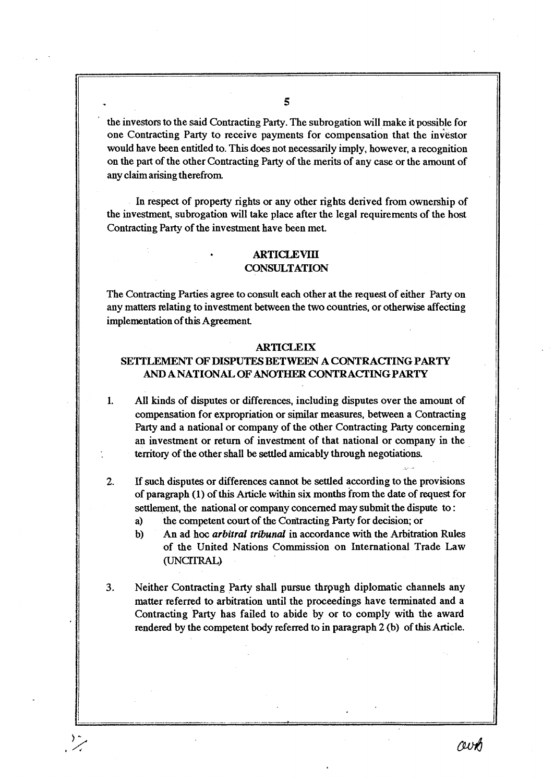the investors to the said Contracting Party. The subrogation will make it possible for one Contracting Party to receive payments for compensation that the investor would have been entitled to. This does not necessarily imply, however, a recognition on the part of the other Contracting Party of the merits of any case or the amount of any claim arising therefrom

In respect of property rights or any other rights derived from ownership of the investment, subrogation will take place after the legal requirements of the host Contracting Party of the investment have been met.

## **ARTICLEVIII CONSULTATION**

The Contracting Parties agree to consult each other at the request of either Party on any matters relating to investment between the two countries, or otherwise affecting implementation of this Agreement

#### **ARTICLEIX**

# SETTLEMENT OF DISPUTES BETWEEN A CONTRACflNG PARTY AND A NATIONAL OF ANOTHER CONTRACfING PARTY

- 1. All kinds of disputes or differences, including disputes over the amount of compensation for expropriation or similar measures, between a Contracting Party and a national or company of the other Contracting Party concerning an investment or return of investment of that national or company in the. territory of the other shall be settled amicably through negotiations.
- 2. If such disputes or differences cannot be settled according to the provisions of paragraph (1) of this Article within six months from the date of request for settlement, the national or company concerned may submit the dispute to:
	- a) the competent court of the Contracting Party for decision; or
	- b) An ad hoc *arbitral tribunal* in accordance with the Arbitration Rules of the United Nations Commission on International Trade Law (UNCITRAL)
- 3. Neither Contracting Party shall pursue through diplomatic channels any matter referred to arbitration until the proceedings have terminated and a Contracting Party has failed to abide by or to comply with the award rendered by the competent body referred to in paragraph 2 (b) of this Article.

5

 $\parallel$ J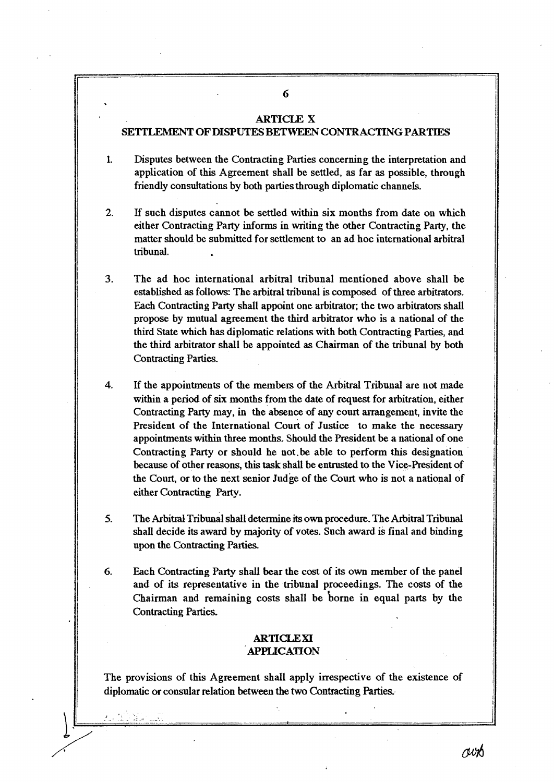# ARTICLE X

#### SETILEMENT OF DISPUTES BETWEEN CONTRACTING PARTIES

- 1. Disputes between the Contracting Parties concerning the interpretation and application of this Agreement shall be settled, as far as possible. through friendly consultations by both parties through diplomatic channels.
- 2. If such disputes cannot be settled within six months from date on which either Contracting Party informs in writing the other Contracting Party. the matter should be submitted for settlement to an ad hoc international arbitral tribunal.
- 3. The ad hoc international arbitral tribunal mentioned above shall be established as follows: The arbitral tribunal is composed of three arbitrators. Each Contracting Party shall appoint one arbitrator; the two arbitrators shall propose by mutual agreement the third arbitrator who is a national of the third State which has diplomatic relations with both Contracting Parties, and the third arbitrator shall be appointed as Chairman of the tribunal by both Contracting Parties.
- 4. If the appointments of the members of the Arbitral Tribunal are not made within a period of six months from the date of request for arbitration, either Contracting Party may. in the absence of any court arrangement, invite the President of the International Court of Justice to make the necessary appointments within three months. Should the President be a national of one Contracting Party or should he not.be able to perform this designation· because of other reasons, this task shall be entrusted to the Vice-President of the Court, or to the next senior Judge of the Court who is not a national of either Contracting Party.
- 5. The Arbitral Tribunal shall determine its own procedure. The Arbitral Tribunal shall decide its award by majority of votes. Such award is final and binding upon the Contracting Parties.
- 6. Each Contracting Party shall bear the cost of its own member of the panel and of its representative in the tribunal proceedings. The costs of the Chairman and remaining costs shall be borne in equal parts by the Contracting Parties..

#### **ARTICLEXI APPLICATION**

The provisions of this Agreement shall apply irrespective of the existence of diplomatic or consular relation between the two Contracting Parties.·

A MERENT

6